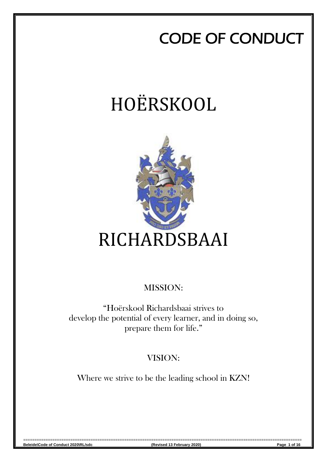## CODE OF CONDUCT

# HOËRSKOOL



### MISSION:

"Hoërskool Richardsbaai strives to develop the potential of every learner, and in doing so, prepare them for life."

### VISION:

Where we strive to be the leading school in KZN!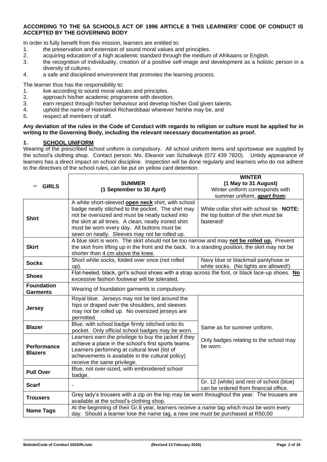#### **ACCORDING TO THE SA SCHOOLS ACT OF 1996 ARTICLE 8 THIS LEARNERS' CODE OF CONDUCT IS ACCEPTED BY THE GOVERNING BODY**

In order to fully benefit from this mission, learners are entitled to:

- 1. the preservation and extension of sound moral values and principles.
- 2. acquiring education of a high academic standard through the medium of Afrikaans or English.
- 3. the recognition of individuality, creation of a positive self-image and development as a holistic person in a diversity of cultures.
- 4. a safe and disciplined environment that promotes the learning process.

The learner thus has the responsibility to:

- 1. live according to sound moral values and principles.
- 2. approach his/her academic programme with devotion.
- 3. earn respect through his/her behaviour and develop his/her God given talents.
- 4. uphold the name of Hoërskool Richardsbaai wherever he/she may be, and
- 5. respect all members of staff.

#### **Any deviation of the rules in the Code of Conduct with regards to religion or culture must be applied for in writing to the Governing Body, including the relevant necessary documentation as proof.**

#### **1. SCHOOL UNIFORM**

Wearing of the prescribed school uniform is compulsory. All school uniform items and sportswear are supplied by the school's clothing shop. Contact person: Ms. Eleanor van Schalkwyk (072 439 7820). Untidy appearance of learners has a direct impact on school discipline. Inspection will be done regularly and learners who do not adhere to the directives of the school rules, can be put on yellow card detention.

| <b>GIRLS</b>                         | <b>SUMMER</b><br>(1 September to 30 April)                                                                                                                                                                                                                                                                                 | <b>WINTER</b><br>(1 May to 31 August)<br>Winter uniform corresponds with<br>summer uniform, <b>apart from:</b> |  |
|--------------------------------------|----------------------------------------------------------------------------------------------------------------------------------------------------------------------------------------------------------------------------------------------------------------------------------------------------------------------------|----------------------------------------------------------------------------------------------------------------|--|
| <b>Shirt</b>                         | A white short-sleeved <b>open neck</b> shirt, with school<br>badge neatly stitched to the pocket. The shirt may<br>not be oversized and must be neatly tucked into<br>the skirt at all times. A clean, neatly ironed shirt<br>must be worn every day. All buttons must be<br>sewn on neatly. Sleeves may not be rolled up. | White collar shirt with school tie. NOTE:<br>the top button of the shirt must be<br>fastened!                  |  |
| <b>Skirt</b>                         | A blue skirt is worn. The skirt should not be too narrow and may not be rolled up. Prevent<br>the skirt from lifting up in the front and the back. In a standing position, the skirt may not be<br>shorter than 4 cm above the knee.                                                                                       |                                                                                                                |  |
| <b>Socks</b>                         | Short white socks, folded over once (not rolled<br>$up)$ .                                                                                                                                                                                                                                                                 | Navy blue or blackmail pantyhose or<br>white socks. (No tights are allowed!)                                   |  |
| <b>Shoes</b>                         | Flat-heeled, black, girl's school shoes with a strap across the foot, or black lace-up shoes. No<br>excessive fashion footwear will be tolerated.                                                                                                                                                                          |                                                                                                                |  |
| <b>Foundation</b><br><b>Garments</b> | Wearing of foundation garments is compulsory.                                                                                                                                                                                                                                                                              |                                                                                                                |  |
| <b>Jersey</b>                        | Royal blue. Jerseys may not be tied around the<br>hips or draped over the shoulders, and sleeves<br>may not be rolled up. No oversized jerseys are<br>permitted.                                                                                                                                                           |                                                                                                                |  |
| <b>Blazer</b>                        | Blue, with school badge firmly stitched onto its<br>pocket. Only official school badges may be worn.                                                                                                                                                                                                                       | Same as for summer uniform.                                                                                    |  |
| <b>Performance</b><br><b>Blazers</b> | Learners earn the privilege to buy the jacket if they<br>achieve a place in the school's first sports teams.<br>Learners performing at cultural level (list of<br>achievements is available in the cultural policy)<br>receive the same privilege.                                                                         | Only badges relating to the school may<br>be worn.                                                             |  |
| <b>Pull Over</b>                     | Blue, not over-sized, with embroidered school<br>badge.                                                                                                                                                                                                                                                                    |                                                                                                                |  |
| <b>Scarf</b>                         |                                                                                                                                                                                                                                                                                                                            | Gr. 12 (white) and rest of school (blue)<br>can be ordered from financial office.                              |  |
| <b>Trousers</b>                      | Grey lady's trousers with a zip on the hip may be worn throughout the year. The trousers are<br>available at the school's clothing shop.                                                                                                                                                                                   |                                                                                                                |  |
| <b>Name Tags</b>                     | At the beginning of their Gr.8 year, learners receive a name tag which must be worn every<br>day. Should a learner lose the name tag, a new one must be purchased at R50,00                                                                                                                                                |                                                                                                                |  |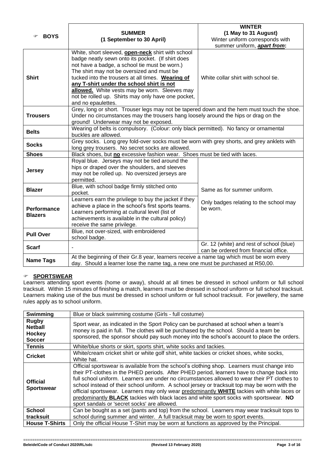| <b>BOYS</b>                          | <b>SUMMER</b>                                                                                                                                                                                                                                                                                                                                                                                                                                                                      | <b>WINTER</b><br>(1 May to 31 August)                                             |  |  |
|--------------------------------------|------------------------------------------------------------------------------------------------------------------------------------------------------------------------------------------------------------------------------------------------------------------------------------------------------------------------------------------------------------------------------------------------------------------------------------------------------------------------------------|-----------------------------------------------------------------------------------|--|--|
|                                      | (1 September to 30 April)                                                                                                                                                                                                                                                                                                                                                                                                                                                          | Winter uniform corresponds with<br>summer uniform, apart from:                    |  |  |
| <b>Shirt</b>                         | White, short sleeved, <b>open-neck</b> shirt with school<br>badge neatly sewn onto its pocket. (If shirt does<br>not have a badge, a school tie must be worn.)<br>The shirt may not be oversized and must be<br>tucked into the trousers at all times. Wearing of<br>White collar shirt with school tie.<br>any T-shirt under the school shirt is not<br>allowed. White vests may be worn. Sleeves may<br>not be rolled up. Shirts may only have one pocket,<br>and no epaulettes. |                                                                                   |  |  |
| <b>Trousers</b>                      | Grey, long or short. Trouser legs may not be tapered down and the hem must touch the shoe.<br>Under no circumstances may the trousers hang loosely around the hips or drag on the<br>ground! Underwear may not be exposed.                                                                                                                                                                                                                                                         |                                                                                   |  |  |
| <b>Belts</b>                         | Wearing of belts is compulsory. (Colour: only black permitted). No fancy or ornamental<br>buckles are allowed.                                                                                                                                                                                                                                                                                                                                                                     |                                                                                   |  |  |
| <b>Socks</b>                         | Grey socks. Long grey fold-over socks must be worn with grey shorts, and grey anklets with<br>long grey trousers. No secret socks are allowed.                                                                                                                                                                                                                                                                                                                                     |                                                                                   |  |  |
| <b>Shoes</b>                         | Black shoes, but no excessive fashion wear. Shoes must be tied with laces.                                                                                                                                                                                                                                                                                                                                                                                                         |                                                                                   |  |  |
| <b>Jersey</b>                        | Royal blue. Jerseys may not be tied around the<br>hips or draped over the shoulders, and sleeves<br>may not be rolled up. No oversized jerseys are<br>permitted.                                                                                                                                                                                                                                                                                                                   |                                                                                   |  |  |
| <b>Blazer</b>                        | Blue, with school badge firmly stitched onto<br>pocket.                                                                                                                                                                                                                                                                                                                                                                                                                            | Same as for summer uniform.                                                       |  |  |
| <b>Performance</b><br><b>Blazers</b> | Learners earn the privilege to buy the jacket if they<br>Only badges relating to the school may<br>achieve a place in the school's first sports teams.<br>be worn.<br>Learners performing at cultural level (list of<br>achievements is available in the cultural policy)<br>receive the same privilege.                                                                                                                                                                           |                                                                                   |  |  |
| <b>Pull Over</b>                     | Blue, not over-sized, with embroidered<br>school badge.                                                                                                                                                                                                                                                                                                                                                                                                                            |                                                                                   |  |  |
| <b>Scarf</b>                         |                                                                                                                                                                                                                                                                                                                                                                                                                                                                                    | Gr. 12 (white) and rest of school (blue)<br>can be ordered from financial office. |  |  |
| <b>Name Tags</b>                     | At the beginning of their Gr.8 year, learners receive a name tag which must be worn every<br>day. Should a learner lose the name tag, a new one must be purchased at R50,00.                                                                                                                                                                                                                                                                                                       |                                                                                   |  |  |

#### **SPORTSWEAR**

Learners attending sport events (home or away), should at all times be dressed in school uniform or full school tracksuit. Within 15 minutes of finishing a match, learners must be dressed in school uniform or full school tracksuit. Learners making use of the bus must be dressed in school uniform or full school tracksuit. For jewellery, the same rules apply as to school uniform.

| <b>Swimming</b>                                           | Blue or black swimming costume (Girls - full costume)                                                                                                                                                                                                                                                                                                                                                                                                                                                                                                                                                                               |  |
|-----------------------------------------------------------|-------------------------------------------------------------------------------------------------------------------------------------------------------------------------------------------------------------------------------------------------------------------------------------------------------------------------------------------------------------------------------------------------------------------------------------------------------------------------------------------------------------------------------------------------------------------------------------------------------------------------------------|--|
| <b>Rugby</b><br><b>Netball</b><br>Hockey<br><b>Soccer</b> | Sport wear, as indicated in the Sport Policy can be purchased at school when a team's<br>money is paid in full. The clothes will be purchased by the school. Should a team be<br>sponsored, the sponsor should pay such money into the school's account to place the orders.                                                                                                                                                                                                                                                                                                                                                        |  |
| <b>Tennis</b>                                             | White/blue shorts or skirt, sports shirt, white socks and tackies.                                                                                                                                                                                                                                                                                                                                                                                                                                                                                                                                                                  |  |
| <b>Cricket</b>                                            | White/cream cricket shirt or white golf shirt, white tackies or cricket shoes, white socks,<br>White hat.                                                                                                                                                                                                                                                                                                                                                                                                                                                                                                                           |  |
| <b>Official</b><br><b>Sportswear</b>                      | Official sportswear is available from the school's clothing shop. Learners must change into<br>their PT-clothes in the PHED periods. After PHED period, learners have to change back into<br>full school uniform. Learners are under no circumstances allowed to wear their PT clothes to<br>school instead of their school uniform. A school jersey or tracksuit top may be worn with the<br>official sportswear. Learners may only wear predominantly WHITE tackies with white laces or<br>predominantly BLACK tackies with black laces and white sport socks with sportswear. NO<br>sport sandals or 'secret socks' are allowed. |  |
| <b>School</b>                                             | Can be bought as a set (pants and top) from the school. Learners may wear tracksuit tops to                                                                                                                                                                                                                                                                                                                                                                                                                                                                                                                                         |  |
| tracksuit                                                 | school during summer and winter. A full tracksuit may be worn to sport events.                                                                                                                                                                                                                                                                                                                                                                                                                                                                                                                                                      |  |
| <b>House T-Shirts</b>                                     | Only the official House T-Shirt may be worn at functions as approved by the Principal.                                                                                                                                                                                                                                                                                                                                                                                                                                                                                                                                              |  |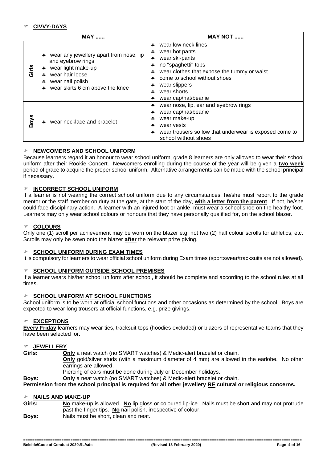#### **CIVVY-DAYS**

|             | $MAX$                                                                                                                                                                  | MAY NOT                                                                                                                                                                                                                                   |  |
|-------------|------------------------------------------------------------------------------------------------------------------------------------------------------------------------|-------------------------------------------------------------------------------------------------------------------------------------------------------------------------------------------------------------------------------------------|--|
| Girls       | wear any jewellery apart from nose, lip<br>4<br>and eyebrow rings<br>wear light make-up<br>4<br>wear hair loose<br>wear nail polish<br>wear skirts 6 cm above the knee | wear low neck lines<br>d.<br>wear hot pants<br>4<br>wear ski-pants<br>4<br>no "spaghetti" tops<br>wear clothes that expose the tummy or waist<br>come to school without shoes<br>wear slippers<br>wear shorts<br>÷<br>wear cap/hat/beanie |  |
| <b>Boys</b> | wear necklace and bracelet                                                                                                                                             | wear nose, lip, ear and eyebrow rings<br>wear cap/hat/beanie<br>wear make-up<br>wear vests<br>wear trousers so low that underwear is exposed come to<br>school without shoes                                                              |  |

#### **NEWCOMERS AND SCHOOL UNIFORM**

Because learners regard it an honour to wear school uniform, grade 8 learners are only allowed to wear their school uniform after their Rookie Concert. Newcomers enrolling during the course of the year will be given a **two week** period of grace to acquire the proper school uniform. Alternative arrangements can be made with the school principal if necessary.

#### **INCORRECT SCHOOL UNIFORM**

If a learner is not wearing the correct school uniform due to any circumstances, he/she must report to the grade mentor or the staff member on duty at the gate, at the start of the day, **with a letter from the parent**. If not, he/she could face disciplinary action. A learner with an injured foot or ankle, must wear a school shoe on the healthy foot. Learners may only wear school colours or honours that they have personally qualified for, on the school blazer.

#### **COLOURS**

Only one (1) scroll per achievement may be worn on the blazer e.g. not two (2) half colour scrolls for athletics, etc. Scrolls may only be sewn onto the blazer **after** the relevant prize giving.

#### **SCHOOL UNIFORM DURING EXAM TIMES**

It is compulsory for learners to wear official school uniform during Exam times (sportswear/tracksuits are not allowed).

#### **SCHOOL UNIFORM OUTSIDE SCHOOL PREMISES**

If a learner wears his/her school uniform after school, it should be complete and according to the school rules at all times.

#### **SCHOOL UNIFORM AT SCHOOL FUNCTIONS**

School uniform is to be worn at official school functions and other occasions as determined by the school. Boys are expected to wear long trousers at official functions, e.g. prize givings.

#### **EXCEPTIONS**

**Every Friday** learners may wear ties, tracksuit tops (hoodies excluded) or blazers of representative teams that they have been selected for.

#### **JEWELLERY**

**Girls: Only** a neat watch (no SMART watches) & Medic-alert bracelet or chain.

**Only** gold/silver studs (with a maximum diameter of 4 mm) are allowed in the earlobe. No other earrings are allowed.

Piercing of ears must be done during July or December holidays.

**Boys: Only** a neat watch (no SMART watches) & Medic-alert bracelet or chain.

**Permission from the school principal is required for all other jewellery RE cultural or religious concerns.**

#### **NAILS AND MAKE-UP**

**Girls: No** make-up is allowed. **No** lip gloss or coloured lip-ice. Nails must be short and may not protrude past the finger tips. No nail polish, irrespective of colour. **Boys:** Nails must be short, clean and neat.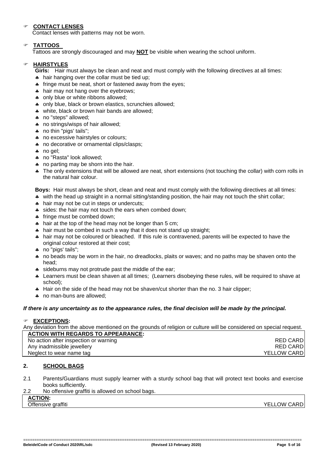#### **CONTACT LENSES**

Contact lenses with patterns may not be worn.

#### **TATTOOS**

Tattoos are strongly discouraged and may **NOT** be visible when wearing the school uniform.

#### **HAIRSTYLES**

**Girls:** Hair must always be clean and neat and must comply with the following directives at all times:

- hair hanging over the collar must be tied up;
- **\*** fringe must be neat, short or fastened away from the eyes;
- **\*** hair may not hang over the evebrows:
- only blue or white ribbons allowed;
- only blue, black or brown elastics, scrunchies allowed;
- \* white, black or brown hair bands are allowed;
- \* no "steps" allowed;
- \* no strings/wisps of hair allowed;
- \* no thin "pigs' tails";
- \* no excessive hairstyles or colours;
- \* no decorative or ornamental clips/clasps;
- \* no gel:
- \* no "Rasta" look allowed;
- \* no parting may be shorn into the hair.
- The only extensions that will be allowed are neat, short extensions (not touching the collar) with corn rolls in the natural hair colour.

**Boys:** Hair must always be short, clean and neat and must comply with the following directives at all times:

- \* with the head up straight in a normal sitting/standing position, the hair may not touch the shirt collar;
- hair may not be cut in steps or undercuts:
- sides: the hair may not touch the ears when combed down;
- **\*** fringe must be combed down;
- hair at the top of the head may not be longer than 5 cm;
- **\*** hair must be combed in such a way that it does not stand up straight;
- hair may not be coloured or bleached. If this rule is contravened, parents will be expected to have the original colour restored at their cost;
- \* no "pigs' tails";
- \* no beads may be worn in the hair, no dreadlocks, plaits or waves; and no paths may be shaven onto the head;
- \* sideburns may not protrude past the middle of the ear;
- Learners must be clean shaven at all times; (Learners disobeying these rules, will be required to shave at school);
- A Hair on the side of the head may not be shaven/cut shorter than the no. 3 hair clipper;
- \* no man-buns are allowed;

#### *If there is any uncertainty as to the appearance rules, the final decision will be made by the principal.*

#### **EXCEPTIONS:**

Any deviation from the above mentioned on the grounds of religion or culture will be considered on special request. **ACTION WITH REGARDS TO APPEARANCE:**

| No action after inspection or warning | RED CARDI           |
|---------------------------------------|---------------------|
| Any inadmissible jewellery            | <b>RED CARD</b>     |
| Neglect to wear name tag              | <b>YELLOW CARDI</b> |
|                                       |                     |

#### **2. SCHOOL BAGS**

2.1 Parents/Guardians must supply learner with a sturdy school bag that will protect text books and exercise books sufficiently.

| 2.2 | No offensive graffiti is allowed on school bags. |
|-----|--------------------------------------------------|
|     | <b>ACTION:</b>                                   |

#### Offensive graffiti **YELLOW CARD CONSIDERITY CONSIDERITY CONSIDERITY CONSIDERITY OF A STATE OF A STATE OF A STATE OF A STATE OF A STATE OF A STATE OF A STATE OF A STATE OF A STATE OF A STATE OF A STATE OF A STATE OF A STA**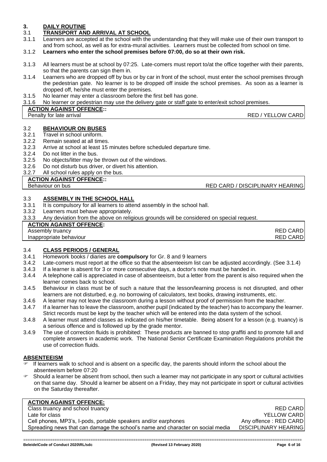#### **3. DAILY ROUTINE**

### 3.1 **TRANSPORT AND ARRIVAL AT SCHOOL**

- Learners are accepted at the school with the understanding that they will make use of their own transport to and from school, as well as for extra-mural activities. Learners must be collected from school on time.
- 3.1.2 **Learners who enter the school premises before 07:00, do so at their own risk.**
- 3.1.3 All learners must be at school by 07:25. Late-comers must report to/at the office together with their parents, so that the parents can sign them in.
- 3.1.4 Learners who are dropped off by bus or by car in front of the school, must enter the school premises through the pedestrian gate. No learner is to be dropped off inside the school premises. As soon as a learner is dropped off, he/she must enter the premises.
- 3.1.5 No learner may enter a classroom before the first bell has gone.
- 3.1.6 No learner or pedestrian may use the delivery gate or staff gate to enter/exit school premises.

#### **ACTION AGAINST OFFENCE::**

**Penalty for late arrival CONFIDENTIAL CONFIDENT CONFIDENT CONFIDENT CONFIDENT CONFIDENT CONFIDENTIAL CONFIDENT** 

### 3.2 **BEHAVIOUR ON BUSES**

- Travel in school uniform
- 3.2.2 Remain seated at all times.
- 3.2.3 Arrive at school at least 15 minutes before scheduled departure time.
- 3.2.4 Do not litter in the bus.
- 3.2.5 No objects/litter may be thrown out of the windows.
- 3.2.6 Do not disturb bus driver, or divert his attention.

#### 3.2.7 All school rules apply on the bus.

#### **ACTION AGAINST OFFENCE::**

### Behaviour on bus **RED CARD / DISCIPLINARY HEARING**

#### 3.3 **ASSEMBLY IN THE SCHOOL HALL**

- 3.3.1 It is compulsory for all learners to attend assembly in the school hall.
- 3.3.2 Learners must behave appropriately.
- 3.3.3 Any deviation from the above on religious grounds will be considered on special request.

#### **ACTION AGAINST OFFENCE:**

| Assembly truancy | <b>RED CARD</b> |
|------------------|-----------------|

**Inappropriate behaviour RED CARD** 

### 3.4 **CLASS PERIODS / GENERAL**

- 3.4.1 Homework books / diaries are **compulsory** for Gr. 8 and 9 learners
- 3.4.2 Late-comers must report at the office so that the absenteeism list can be adjusted accordingly. (See 3.1.4)
- 3.4.3 If a learner is absent for 3 or more consecutive days, a doctor's note must be handed in.
- 3.4.4 A telephone call is appreciated in case of absenteeism, but a letter from the parent is also required when the learner comes back to school.
- 3.4.5 Behaviour in class must be of such a nature that the lesson/learning process is not disrupted, and other learners are not disturbed, e.g. no borrowing of calculators, text books, drawing instruments, etc.
- 3.4.6 A learner may not leave the classroom during a lesson without proof of permission from the teacher.
- 3.4.7 If a learner has to leave the classroom, another pupil (indicated by the teacher) has to accompany the learner. Strict records must be kept by the teacher which will be entered into the data system of the school.
- 3.4.8 A learner must attend classes as indicated on his/her timetable. Being absent for a lesson (e.g. truancy) is a serious offence and is followed up by the grade mentor.
- 3.4.9 The use of correction fluids is prohibited: These products are banned to stop graffiti and to promote full and complete answers in academic work. The National Senior Certificate Examination Regulations prohibit the use of correction fluids.

#### **ABSENTEEISM**

- If learners walk to school and is absent on a specific day, the parents should inform the school about the absenteeism before 07:20
- Should a learner be absent from school, then such a learner may not participate in any sport or cultural activities on that same day. Should a learner be absent on a Friday, they may not participate in sport or cultural activities on the Saturday thereafter.

#### **ACTION AGAINST OFFENCE:**

Class truancy and school truancy **RED CARD** Late for class **YELLOW CARD** Cell phones, MP3's, I-pods, portable speakers and/or earphones Any offence : RED CARD Spreading news that can damage the school's name and character on social media DISCIPLINARY HEARING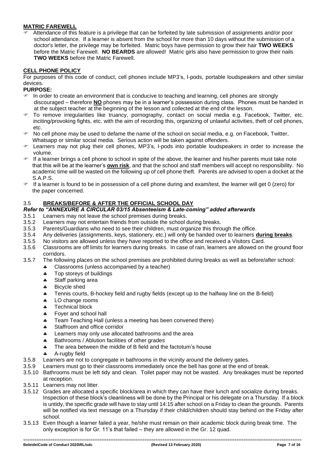#### **MATRIC FAREWELL**

 Attendance of this feature is a privilege that can be forfeited by late submission of assignments and/or poor school attendance. If a learner is absent from the school for more than 10 days without the submission of a doctor's letter, the privilege may be forfeited. Matric boys have permission to grow their hair **TWO WEEKS** before the Matric Farewell. **NO BEARDS** are allowed! Matric girls also have permission to grow their nails **TWO WEEKS** before the Matric Farewell.

#### **CELL PHONE POLICY**

For purposes of this code of conduct, cell phones include MP3's, I-pods, portable loudspeakers and other similar devices.

#### **PURPOSE:**

- In order to create an environment that is conducive to teaching and learning, cell phones are strongly discouraged – therefore **NO** phones may be in a learner's possession during class. Phones must be handed in at the subject teacher at the beginning of the lesson and collected at the end of the lesson.
- To remove irregularities like truancy, pornography, contact on social media e.g. Facebook, Twitter, etc. inciting/provoking fights, etc. with the aim of recording this, organizing of unlawful activities, theft of cell phones, etc.
- No cell phone may be used to defame the name of the school on social media, e.g. on Facebook, Twitter, Whatsapp or similar social media. Serious action will be taken against offenders.
- Learners may not plug their cell phones, MP3's, I-pods into portable loudspeakers in order to increase the volume.
- If a learner brings a cell phone to school in spite of the above, the learner and his/her parents must take note that this will be at the learner's **own risk**, and that the school and staff members will accept no responsibility. No academic time will be wasted on the following up of cell phone theft. Parents are advised to open a docket at the S.A.P.S.
- $\blacktriangleright$  If a learner is found to be in possession of a cell phone during and exam/test, the learner will get 0 (zero) for the paper concerned.

#### 3.5 **BREAKS/BEFORE & AFTER THE OFFICIAL SCHOOL DAY**

#### *Refer to "ANNEXURE A CIRCULAR 03/15 Absenteeism & Late-coming" added afterwards*

- 3.5.1 Learners may not leave the school premises during breaks.
- 3.5.2 Learners may not entertain friends from outside the school during breaks.
- 3.5.3 Parents/Guardians who need to see their children, must organize this through the office.
- 3.5.4 Any deliveries (assignments, keys, stationery, etc.) will only be handed over to learners **during breaks**.
- 3.5.5 No visitors are allowed unless they have reported to the office and received a Visitors Card.
- 3.5.6 Classrooms are off limits for learners during breaks. In case of rain, learners are allowed on the ground floor corridors.
- 3.5.7 The following places on the school premises are prohibited during breaks as well as before/after school:
	- Classrooms (unless accompanied by a teacher)
	- \* Top storeys of buildings
	- \* Staff parking area
	- \* Bicycle shed
	- Tennis courts, B-hockey field and rugby fields (except up to the halfway line on the B-field)
	- \* LO change rooms
	- **\*** Technical block
	- \* Foyer and school hall
	- **\*** Team Teaching Hall (unless a meeting has been convened there)
	- \* Staffroom and office corridor
	- **4** Learners may only use allocated bathrooms and the area
	- **Bathrooms / Ablution facilities of other grades**
	- The area between the middle of B field and the factotum's house
	- A-rugby field
- 3.5.8 Learners are not to congregate in bathrooms in the vicinity around the delivery gates.
- 3.5.9 Learners must go to their classrooms immediately once the bell has gone at the end of break.
- 3.5.10 Bathrooms must be left tidy and clean. Toilet paper may not be wasted. Any breakages must be reported at reception.
- 3.5.11 Learners may not litter.
- 3.5.12 Grades are allocated a specific block/area in which they can have their lunch and socialize during breaks. Inspection of these block's cleanliness will be done by the Principal or his delegate on a Thursday. If a block is untidy, the specific grade will have to stay until 14:15 after school on a Friday to clean the grounds. Parents will be notified via text message on a Thursday if their child/children should stay behind on the Friday after school.
- 3.5.13 Even though a learner failed a year, he/she must remain on their academic block during break time. The only exception is for Gr. 11's that failed – they are allowed in the Gr. 12 quad.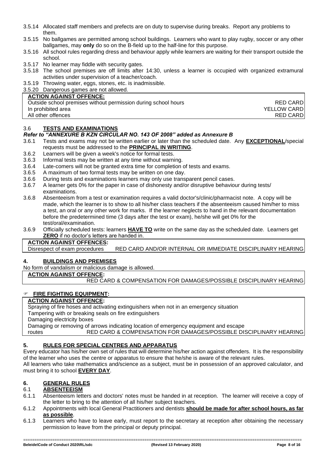- 3.5.14 Allocated staff members and prefects are on duty to supervise during breaks. Report any problems to them.
- 3.5.15 No ballgames are permitted among school buildings. Learners who want to play rugby, soccer or any other ballgames, may **only** do so on the B-field up to the half-line for this purpose.
- 3.5.16 All school rules regarding dress and behaviour apply while learners are waiting for their transport outside the school.
- 3.5.17 No learner may fiddle with security gates.
- 3.5.18 The school premises are off limits after 14:30, unless a learner is occupied with organized extramural activities under supervision of a teacher/coach.
- 3.5.19 Throwing water, eggs, stones, etc. is inadmissible.
- 3.5.20 Dangerous games are not allowed.

#### **ACTION AGAINST OFFENCE:**

| Outside school premises without permission during school hours | <b>RED CARD</b>     |
|----------------------------------------------------------------|---------------------|
| In prohibited area                                             | <b>YELLOW CARDI</b> |
| All other offences                                             | <b>RED CARD</b>     |

#### 3.6 **TESTS AND EXAMINATIONS**

#### *Refer to "ANNEXURE B KZN CIRCULAR NO. 143 OF 2008" added as Annexure B*

- 3.6.1 Tests and exams may not be written earlier or later than the scheduled date. Any **EXCEPTIONAL**/special requests must be addressed to the **PRINCIPAL IN WRITING**.
- 3.6.2 Learners will be given a week's notice for formal tests.
- 3.6.3 Informal tests may be written at any time without warning.
- 3.6.4 Late-comers will not be granted extra time for completion of tests and exams.
- 3.6.5 A maximum of two formal tests may be written on one day.
- 3.6.6 During tests and examinations learners may only use transparent pencil cases.
- 3.6.7 A learner gets 0% for the paper in case of dishonesty and/or disruptive behaviour during tests/ examinations.
- 3.6.8 Absenteeism from a test or examination requires a valid doctor's/clinic/pharmacist note. A copy will be made, which the learner is to show to all his/her class teachers if the absenteeism caused him/her to miss a test, an oral or any other work for marks. If the learner neglects to hand in the relevant documentation before the predetermined time (3 days after the test or exam), he/she will get 0% for the test/oral/examination.
- 3.6.9 Officially scheduled tests: learners **HAVE TO** write on the same day as the scheduled date. Learners get **ZERO** if no doctor's letters are handed in.

#### **ACTION AGAINST OFFENCES:**

Disrespect of exam procedures RED CARD AND/OR INTERNAL OR IMMEDIATE DISCIPLINARY HEARING

#### **4. BUILDINGS AND PREMISES**

No form of vandalism or malicious damage is allowed.

#### **ACTION AGAINST OFFENCE:**

RED CARD & COMPENSATION FOR DAMAGES/POSSIBLE DISCIPLINARY HEARING

#### **FIRE FIGHTING EQUIPMENT:**

#### **ACTION AGAINST OFFENCE:**

Spraying of fire hoses and activating extinguishers when not in an emergency situation

Tampering with or breaking seals on fire extinguishers

Damaging electricity boxes

Damaging or removing of arrows indicating location of emergency equipment and escape

routes RED CARD & COMPENSATION FOR DAMAGES/POSSIBLE DISCIPLINARY HEARING

#### **5. RULES FOR SPECIAL CENTRES AND APPARATUS**

Every educator has his/her own set of rules that will determine his/her action against offenders. It is the responsibility of the learner who uses the centre or apparatus to ensure that he/she is aware of the relevant rules.

All learners who take mathematics and/science as a subject, must be in possession of an approved calculator, and must bring it to school **EVERY DAY**.

#### **6. GENERAL RULES**

#### 6.1 **ABSENTEEISM**

- 6.1.1 Absenteeism letters and doctors' notes must be handed in at reception. The learner will receive a copy of the letter to bring to the attention of all his/her subject teachers.
- 6.1.2 Appointments with local General Practitioners and dentists **should be made for after school hours, as far as possible**.
- 6.1.3 Learners who have to leave early, must report to the secretary at reception after obtaining the necessary permission to leave from the principal or deputy principal.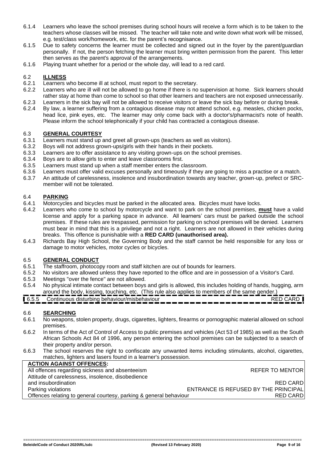- 6.1.4 Learners who leave the school premises during school hours will receive a form which is to be taken to the teachers whose classes will be missed. The teacher will take note and write down what work will be missed, e.g. test/class work/homework, etc. for the parent's recognisance.
- 6.1.5 Due to safety concerns the learner must be collected and signed out in the foyer by the parent/guardian personally. If not, the person fetching the learner must bring written permission from the parent. This letter then serves as the parent's approval of the arrangements.
- 6.1.6 Playing truant whether for a period or the whole day, will lead to a red card.

#### 6.2 **ILLNESS**

- 6.2.1 Learners who become ill at school, must report to the secretary.
- 6.2.2 Learners who are ill will not be allowed to go home if there is no supervision at home. Sick learners should rather stay at home than come to school so that other learners and teachers are not exposed unnecessarily.
- 6.2.3 Learners in the sick bay will not be allowed to receive visitors or leave the sick bay before or during break. 6.2.4 By law, a learner suffering from a contagious disease may not attend school, e.g. measles, chicken pocks, head lice, pink eyes, etc. The learner may only come back with a doctor's/pharmacist's note of health. Please inform the school telephonically if your child has contracted a contagious disease.

#### 6.3 **GENERAL COURTESY**

- 6.3.1 Learners must stand up and greet all grown-ups (teachers as well as visitors).
- 6.3.2 Boys will not address grown-ups/girls with their hands in their pockets.
- 6.3.3 Learners are to offer assistance to any visiting grown-ups on the school premises.
- 6.3.4 Boys are to allow girls to enter and leave classrooms first.
- 6.3.5 Learners must stand up when a staff member enters the classroom.<br>6.3.6 Learners must offer valid excuses personally and timeously if they are
- 6.3.6 Learners must offer valid excuses personally and timeously if they are going to miss a practise or a match.
- 6.3.7 An attitude of carelessness, insolence and insubordination towards any teacher, grown-up, prefect or SRCmember will not be tolerated.

#### 6.4 **PARKING**

- 6.4.1 Motorcycles and bicycles must be parked in the allocated area. Bicycles must have locks.
- 6.4.2 Learners who come to school by motorcycle and want to park on the school premises, **must** have a valid license and apply for a parking space in advance. All learners' cars must be parked outside the school premises. If these rules are trespassed, permission for parking on school premises will be denied. Learners must bear in mind that this is a privilege and not a right. Learners are not allowed in their vehicles during breaks. This offence is punishable with a **RED CARD (unauthorised area).**
- 6.4.3 Richards Bay High School, the Governing Body and the staff cannot be held responsible for any loss or damage to motor vehicles, motor cycles or bicycles.

#### 6.5 **GENERAL CONDUCT**

- 6.5.1 The staffroom, photocopy room and staff kitchen are out of bounds for learners.
- 6.5.2 No visitors are allowed unless they have reported to the office and are in possession of a Visitor's Card.
- 6.5.3 Meetings "over the fence" are not allowed.
- 6.5.4 No physical intimate contact between boys and girls is allowed, this includes holding of hands, hugging, arm around the body, kissing, touching, etc. (This rule also applies to members of the same gender.)
- 6.5.5 Continuous disturbing behaviour/misbehaviour RED CARD

#### 6.6 **SEARCHING**

- 6.6.1 No weapons, stolen property, drugs, cigarettes, lighters, firearms or pornographic material allowed on school premises.
- 6.6.2 In terms of the Act of Control of Access to public premises and vehicles (Act 53 of 1985) as well as the South African Schools Act 84 of 1996, any person entering the school premises can be subjected to a search of their property and/or person.
- 6.6.3 The school reserves the right to confiscate any unwanted items including stimulants, alcohol, cigarettes, matches, lighters and lasers found in a learner's possession.

| <b>ACTION AGAINST OFFENCES:</b>                                    |                                      |
|--------------------------------------------------------------------|--------------------------------------|
| All offences regarding sickness and absenteeism                    | <b>REFER TO MENTOR</b>               |
| Attitude of carelessness, insolence, disobedience                  |                                      |
| and insubordination                                                | <b>RED CARD</b>                      |
| Parking violations                                                 | ENTRANCE IS REFUSED BY THE PRINCIPAL |
| Offences relating to general courtesy, parking & general behaviour | <b>RED CARD</b>                      |
|                                                                    |                                      |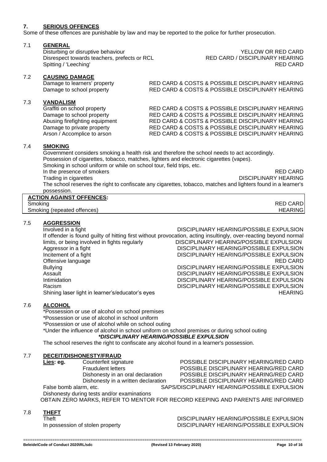#### **7. SERIOUS OFFENCES**

Some of these offences are punishable by law and may be reported to the police for further prosecution.

#### 7.1 **GENERAL**

Disturbing or disruptive behaviour<br>Disrespect towards teachers, prefects or RCL RED CARD / DISCIPLINARY HEARING Disrespect towards teachers, prefects or RCL <br>Spitting / 'I eeching' RED CARD / DISCIPLINARY HEARING Spitting / 'Leeching'

#### 7.2 **CAUSING DAMAGE**

#### 7.3 **VANDALISM**

Damage to learners' property RED CARD & COSTS & POSSIBLE DISCIPLINARY HEARING Damage to school property RED CARD & COSTS & POSSIBLE DISCIPLINARY HEARING

Graffiti on school property RED CARD & COSTS & POSSIBLE DISCIPLINARY HEARING Damage to school property RED CARD & COSTS & POSSIBLE DISCIPLINARY HEARING Abusing firefighting equipment RED CARD & COSTS & POSSIBLE DISCIPLINARY HEARING Damage to private property RED CARD & COSTS & POSSIBLE DISCIPLINARY HEARING Arson / Accomplice to arson RED CARD & COSTS & POSSIBLE DISCIPLINARY HEARING

#### 7.4 **SMOKING**

Government considers smoking a health risk and therefore the school needs to act accordingly. Possession of cigarettes, tobacco, matches, lighters and electronic cigarettes (vapes). Smoking in school uniform or while on school tour, field trips, etc. In the presence of smokers RED CARD<br>Trading in cigarettes **RED CARD**<br>DISCIPLINARY HEARING DISCIPLINARY HEARING The school reserves the right to confiscate any cigarettes, tobacco, matches and lighters found in a learner's possession. **ACTION AGAINST OFFENCES:**

| AUTION AGAINST OFFENCES.    |                 |
|-----------------------------|-----------------|
| Smoking                     | <b>RED CARD</b> |
| Smoking (repeated offences) | <b>HEARING</b>  |
|                             |                 |

#### 7.5 **AGGRESSION**

Involved in a fight **DISCIPLINARY HEARING/POSSIBLE EXPULSION** If offender is found guilty of hitting first without provocation, acting insultingly, over-reacting beyond normal limits, or being involved in fights regularly **DISCIPLINARY HEARING/POSSIBLE EXPULSION** Aggressor in a fight DISCIPLINARY HEARING/POSSIBLE EXPULSION<br>DISCIPLINARY HEARING/POSSIBLE EXPULSION DISCIPLINARY HEARING/POSSIBLE EXPULSION<br>RED CARD Offensive language Bullying DISCIPLINARY HEARING/POSSIBLE EXPULSION Assault **Assault** DISCIPLINARY HEARING/POSSIBLE EXPULSION<br>DISCIPLINARY HEARING/POSSIBLE EXPULSION DISCIPLINARY HEARING/POSSIBLE EXPULSION Racism DISCIPLINARY HEARING/POSSIBLE EXPULSION Shining laser light in learner's/educator's eyes **HEARING** Shining laser light in learner's exercise was expected by the ARING

#### 7.6 **ALCOHOL**

\*Possession or use of alcohol on school premises

\*Possession or use of alcohol in school uniform

\*Possession or use of alcohol while on school outing

\*Under the influence of alcohol in school uniform on school premises or during school outing *\*DISCIPLINARY HEARING/POSSIBLE EXPULSION*

The school reserves the right to confiscate any alcohol found in a learner's possession.

#### 7.7 **DECEIT/DISHONESTY/FRAUD**

**Lies: eg.** Counterfeit signature POSSIBLE DISCIPLINARY HEARING/RED CARD Fraudulent letters **POSSIBLE DISCIPLINARY HEARING/RED CARD**<br>Dishonesty in an oral declaration **POSSIBLE DISCIPLINARY HEARING/RED CARD** POSSIBLE DISCIPLINARY HEARING/RED CARD Dishonesty in a written declaration POSSIBLE DISCIPLINARY HEARING/RED CARD False bomb alarm, etc. SAPS/DISCIPLINARY HEARING/POSSIBLE EXPULSION

Dishonesty during tests and/or examinations OBTAIN ZERO MARKS, REFER TO MENTOR FOR RECORD KEEPING AND PARENTS ARE INFORMED

#### 7.8 **THEFT**

Theft DISCIPLINARY HEARING/POSSIBLE EXPULSION In possession of stolen property DISCIPLINARY HEARING/POSSIBLE EXPULSION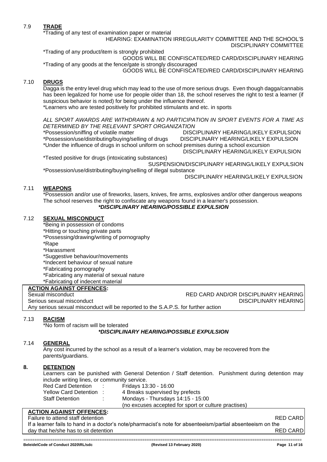#### 7.9 **TRADE**

\*Trading of any test of examination paper or material

HEARING: EXAMINATION IRREGULARITY COMMITTEE AND THE SCHOOL'S

DISCIPLINARY COMMITTEE

\*Trading of any product/item is strongly prohibited

GOODS WILL BE CONFISCATED/RED CARD/DISCIPLINARY HEARING \*Trading of any goods at the fence/gate is strongly discouraged

GOODS WILL BE CONFISCATED/RED CARD/DISCIPLINARY HEARING

#### 7.10 **DRUGS**

Dagga is the entry level drug which may lead to the use of more serious drugs. Even though dagga/cannabis has been legalized for home use for people older than 18, the school reserves the right to test a learner (if suspicious behavior is noted) for being under the influence thereof.

\*Learners who are tested positively for prohibited stimulants and etc. in sports

*ALL SPORT AWARDS ARE WITHDRAWN & NO PARTICIPATION IN SPORT EVENTS FOR A TIME AS DETERMINED BY THE RELEVANT SPORT ORGANIZATION*

\*Possession/sniffing of volatile matter DISCIPLINARY HEARING/LIKELY EXPULSION \*Possession/use/distributing/buying/selling of drugs DISCIPLINARY HEARING/LIKELY EXPULSION \*Under the influence of drugs in school uniform on school premises during a school excursion

 DISCIPLINARY HEARING/LIKELY EXPULSION \*Tested positive for drugs (intoxicating substances)

SUSPENSION/DISCIPLINARY HEARING/LIKELY EXPULSION

\*Possession/use/distributing/buying/selling of illegal substance DISCIPLINARY HEARING/LIKELY EXPULSION

#### 7.11 **WEAPONS**

\*Possession and/or use of fireworks, lasers, knives, fire arms, explosives and/or other dangerous weapons The school reserves the right to confiscate any weapons found in a learner's possession. *\*DISCIPLINARY HEARING/POSSIBLE EXPULSION*

#### 7.12 **SEXUAL MISCONDUCT**

\*Being in possession of condoms

- \*Hitting or touching private parts
- \*Possessing/drawing/writing of pornography
- \*Rape
- \*Harassment

\*Suggestive behaviour/movements

- \*Indecent behaviour of sexual nature
- \*Fabricating pornography
- \*Fabricating any material of sexual nature
- \*Fabricating of indecent material

#### **ACTION AGAINST OFFENCES:**

 Sexual misconduct RED CARD AND/OR DISCIPLINARY HEARING Serious sexual misconduct DISCIPLINARY HEARING

Any serious sexual misconduct will be reported to the S.A.P.S. for further action

#### 7.13 **RACISM**

\*No form of racism will be tolerated

*\*DISCIPLINARY HEARING/POSSIBLE EXPULSION*

#### 7.14 **GENERAL**

Any cost incurred by the school as a result of a learner's violation, may be recovered from the parents/guardians.

#### **8. DETENTION**

Learners can be punished with General Detention / Staff detention. Punishment during detention may include writing lines, or community service.

| <b>Red Card Detention</b> | Fridays 13:30 - 16:00                                |
|---------------------------|------------------------------------------------------|
| Yellow Card Detention :   | 4 Breaks supervised by prefects                      |
| <b>Staff Detention</b>    | Mondays - Thursdays $14:15$ - $15:00$                |
|                           | (no excuses accepted for sport or culture practises) |

#### **ACTION AGAINST OFFENCES:**

Failure to attend staff detention **RED CARD**  If a learner fails to hand in a doctor's note/pharmacist's note for absenteeism/partial absenteeism on the day that he/she has to sit detention **RED CARD**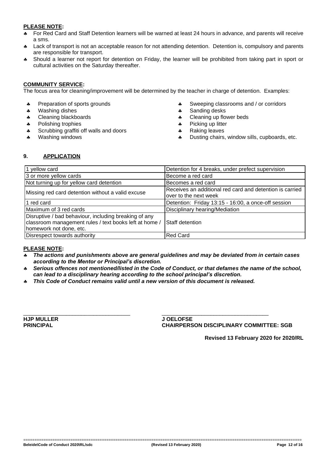#### **PLEASE NOTE:**

- For Red Card and Staff Detention learners will be warned at least 24 hours in advance, and parents will receive a sms.
- A Lack of transport is not an acceptable reason for not attending detention. Detention is, compulsory and parents are responsible for transport.
- Should a learner not report for detention on Friday, the learner will be prohibited from taking part in sport or cultural activities on the Saturday thereafter.

#### **COMMUNITY SERVICE:**

The focus area for cleaning/improvement will be determined by the teacher in charge of detention. Examples:

- \* Preparation of sports grounds
- \* Washing dishes
- **4** Cleaning blackboards
- \* Polishing trophies
- \* Scrubbing graffiti off walls and doors
- \* Washing windows
- \* Sweeping classrooms and / or corridors
- \* Sanding desks
- \* Cleaning up flower beds
- \* Picking up litter
- \* Raking leaves
- \* Dusting chairs, window sills, cupboards, etc.

#### **9. APPLICATION**

| 1 yellow card                                                                                                   | Detention for 4 breaks, under prefect supervision        |
|-----------------------------------------------------------------------------------------------------------------|----------------------------------------------------------|
| 3 or more yellow cards                                                                                          | Become a red card                                        |
| Not turning up for yellow card detention                                                                        | Becomes a red card                                       |
| Missing red card detention without a valid excuse                                                               | Receives an additional red card and detention is carried |
|                                                                                                                 | over to the next week                                    |
| 1 red card                                                                                                      | Detention: Friday 13:15 - 16:00, a once-off session      |
| Maximum of 3 red cards                                                                                          | Disciplinary hearing/Mediation                           |
| Disruptive / bad behaviour, including breaking of any<br>classroom management rules / text books left at home / | <b>Staff detention</b>                                   |
| homework not done, etc.                                                                                         |                                                          |
| Disrespect towards authority                                                                                    | <b>Red Card</b>                                          |

#### **PLEASE NOTE:**

- *The actions and punishments above are general guidelines and may be deviated from in certain cases according to the Mentor or Principal's discretion.*
- *Serious offences not mentioned/listed in the Code of Conduct, or that defames the name of the school, can lead to a disciplinary hearing according to the school principal's discretion.*
- *This Code of Conduct remains valid until a new version of this document is released.*

\_\_\_\_\_\_\_\_\_\_\_\_\_\_\_\_\_\_\_\_\_\_\_\_\_\_\_\_\_\_\_\_\_\_\_ \_\_\_\_\_\_\_\_\_\_\_\_\_\_\_\_\_\_\_\_\_\_\_\_\_\_\_\_\_\_\_\_\_\_\_ **HJP MULLER J OELOFSE**

**PRINCIPAL CHAIRPERSON DISCIPLINARY COMMITTEE: SGB**

**Revised 13 February 2020 for 2020/RL**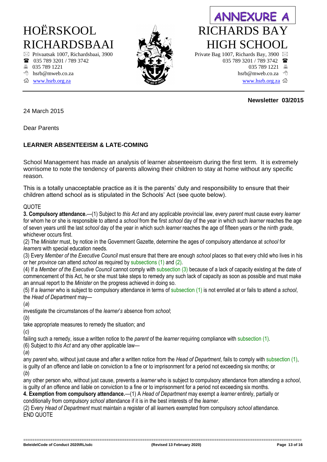- 
- 
- 
- [www.hsrb.org.za www.hsrb.org.za](http://www.hsrb.org.za/)



### **ANNEXURE A** HOËRSKOOL RICHARDS BAY RICHARDSBAAI ASSAY HIGH SCHOOL  $\boxtimes$  Privaatsak 1007, Richardsbaai, 3900  $\rightarrow$  Private Bag 1007, Richards Bay, 3900  $\boxtimes$ **as**  $035 789 3201 / 789 3742$  **b**  $035 789 3201 / 789 3742$  **b**  $035 789 3201 / 789 3742$  **d**  $035 789 1221$

 **Newsletter 03/2015**

#### 24 March 2015

Dear Parents

#### **LEARNER ABSENTEEISM & LATE-COMING**

School Management has made an analysis of learner absenteeism during the first term. It is extremely worrisome to note the tendency of parents allowing their children to stay at home without any specific reason.

This is a totally unacceptable practice as it is the parents' duty and responsibility to ensure that their children attend school as is stipulated in the Schools' Act (see quote below).

#### QUOTE

**3. Compulsory attendance.**—(1) Subject to *this Act* and any applicable provincial law, every *parent* must cause every *learner*  for whom he or she is responsible to attend a *school* from the first *school* day of the year in which such *learner* reaches the age of seven years until the last *school* day of the year in which such *learner* reaches the age of fifteen years or the ninth *grade*, whichever occurs first.

(2) The *Minister* must, by notice in the Government Gazette, determine the ages of compulsory attendance at *school* for *learners* with special education needs.

(3) Every *Member of the Executive Council* must ensure that there are enough *school* places so that every child who lives in his or her *province* can attend *school* as required by subsections (1) and (2).

(4) If a *Member of the Executive Council* cannot comply with subsection (3) because of a lack of capacity existing at the date of commencement of this Act, he or she must take steps to remedy any such lack of capacity as soon as possible and must make an annual report to the *Minister* on the progress achieved in doing so.

(5) If a *learner* who is subject to compulsory attendance in terms of subsection (1) is not enrolled at or fails to attend a *school*, the *Head of Department* may—

(*a*)

investigate the circumstances of the *learner*'*s* absence from *school*;

(*b*)

take appropriate measures to remedy the situation; and

(*c*)

failing such a remedy, issue a written notice to the *parent* of the *learner* requiring compliance with subsection (1).

(6) Subject to *this Act* and any other applicable law—

(*a*)

any *parent* who, without just cause and after a written notice from the *Head of Department*, fails to comply with subsection (1), is guilty of an offence and liable on conviction to a fine or to imprisonment for a period not exceeding six months; or (*b*)

any other person who, without just cause, prevents a *learner* who is subject to compulsory attendance from attending a *school*, is guilty of an offence and liable on conviction to a fine or to imprisonment for a period not exceeding six months.

**4. Exemption from compulsory attendance.**—(1) A *Head of Department* may exempt a *learner* entirely, partially or conditionally from compulsory *school* attendance if it is in the best interests of the *learner*.

(2) Every *Head of Department* must maintain a register of all *learner*s exempted from compulsory *school* attendance. END QUOTE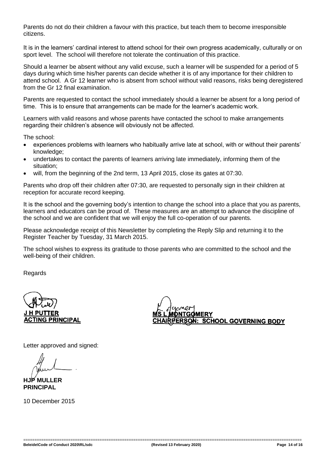Parents do not do their children a favour with this practice, but teach them to become irresponsible citizens.

It is in the learners' cardinal interest to attend school for their own progress academically, culturally or on sport level. The school will therefore not tolerate the continuation of this practice.

Should a learner be absent without any valid excuse, such a learner will be suspended for a period of 5 days during which time his/her parents can decide whether it is of any importance for their children to attend school. A Gr 12 learner who is absent from school without valid reasons, risks being deregistered from the Gr 12 final examination.

Parents are requested to contact the school immediately should a learner be absent for a long period of time. This is to ensure that arrangements can be made for the learner's academic work.

Learners with valid reasons and whose parents have contacted the school to make arrangements regarding their children's absence will obviously not be affected.

The school:

- experiences problems with learners who habitually arrive late at school, with or without their parents' knowledge;
- undertakes to contact the parents of learners arriving late immediately, informing them of the situation;
- will, from the beginning of the 2nd term, 13 April 2015, close its gates at 07:30.

Parents who drop off their children after 07:30, are requested to personally sign in their children at reception for accurate record keeping.

It is the school and the governing body's intention to change the school into a place that you as parents, learners and educators can be proud of. These measures are an attempt to advance the discipline of the school and we are confident that we will enjoy the full co-operation of our parents.

Please acknowledge receipt of this Newsletter by completing the Reply Slip and returning it to the Register Teacher by Tuesday, 31 March 2015.

The school wishes to express its gratitude to those parents who are committed to the school and the well-being of their children.

Regards

**PUTTER CTING PRINCIPAL** 

**NTGOMERY** <u>SON: SCHOOL GO</u>VERNING BODY

Letter approved and signed:

**HJP MULLER PRINCIPAL**

10 December 2015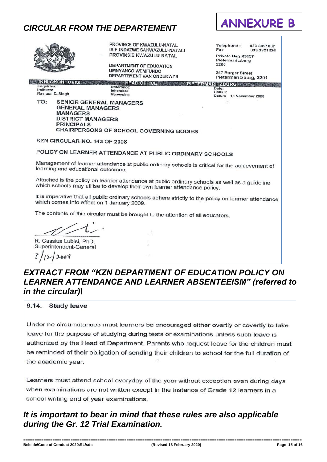### *CIRCULAR FROM THE DEPARTEMENT*



PROVINCE OF KWAZULU-NATAL Telephone: 033 3921807 ISIFUNDAZWE SAKWAZULU-NATALI Fax 033 3921226 PROVINSIE KWAZULU-NATAL Private Bag X9137 Pietermaritzburg 3200 **DEPARTMENT OF EDUCATION UMNYANGO WEMFUNDO** 247 Burger Street **DEPARTEMENT VAN ONDERWYS** Pietermaritzburg, 3201 **INHLOKOHHOVISI HEAD OFFICE** PIETERMARITZBURG TANK AND Enquiries Reference: Date: Inkomba: Heuko Navrae: D. Singh verwysing Datum 18 November 2008 **SENIOR GENERAL MANAGERS** TO-**GENERAL MANAGERS MANAGERS DISTRICT MANAGERS PRINCIPALS CHAIRPERSONS OF SCHOOL GOVERNING BODIES** KZN CIRCULAR NO. 143 OF 2008 POLICY ON LEARNER ATTENDANCE AT PUBLIC ORDINARY SCHOOLS Management of learner attendance at public ordinary schools is critical for the achievement of learning and educational outcomes. Attached is the policy on learner attendance at public ordinary schools as well as a guideline which schools may utilise to develop their own learner attendance policy. It is imperative that all public ordinary schools adhere strictly to the policy on learner attendance which comes into effect on 1 January 2009. The contents of this circular must be brought to the attention of all educators. R. Cassius Lubisi, PhD. Superintendent-General 3  $12008$ 

### *EXTRACT FROM "KZN DEPARTMENT OF EDUCATION POLICY ON LEARNER ATTENDANCE AND LEARNER ABSENTEEISM" (referred to in the circular)\*

9.14. Study leave

Under no circumstances must learners be encouraged either overtly or covertly to take leave for the purpose of studying during tests or examinations unless such leave is authorized by the Head of Department. Parents who request leave for the children must be reminded of their obligation of sending their children to school for the full duration of the academic year.

Learners must attend school everyday of the year without exception even during days when examinations are not written except in the instance of Grade 12 learners in a school writing end of year examinations.

### *It is important to bear in mind that these rules are also applicable during the Gr. 12 Trial Examination.*